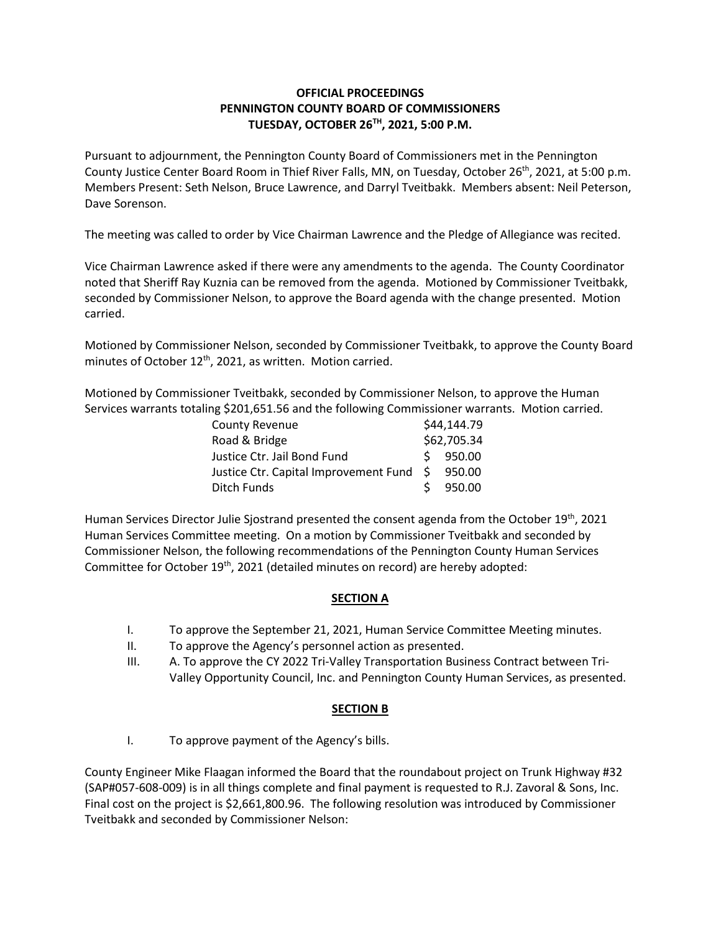## **OFFICIAL PROCEEDINGS PENNINGTON COUNTY BOARD OF COMMISSIONERS TUESDAY, OCTOBER 26TH, 2021, 5:00 P.M.**

Pursuant to adjournment, the Pennington County Board of Commissioners met in the Pennington County Justice Center Board Room in Thief River Falls, MN, on Tuesday, October 26th, 2021, at 5:00 p.m. Members Present: Seth Nelson, Bruce Lawrence, and Darryl Tveitbakk. Members absent: Neil Peterson, Dave Sorenson.

The meeting was called to order by Vice Chairman Lawrence and the Pledge of Allegiance was recited.

Vice Chairman Lawrence asked if there were any amendments to the agenda. The County Coordinator noted that Sheriff Ray Kuznia can be removed from the agenda. Motioned by Commissioner Tveitbakk, seconded by Commissioner Nelson, to approve the Board agenda with the change presented. Motion carried.

Motioned by Commissioner Nelson, seconded by Commissioner Tveitbakk, to approve the County Board minutes of October 12<sup>th</sup>, 2021, as written. Motion carried.

Motioned by Commissioner Tveitbakk, seconded by Commissioner Nelson, to approve the Human Services warrants totaling \$201,651.56 and the following Commissioner warrants. Motion carried.

| <b>County Revenue</b>                          | \$44,144.79 |
|------------------------------------------------|-------------|
| Road & Bridge                                  | \$62,705.34 |
| Justice Ctr. Jail Bond Fund                    | $5$ 950.00  |
| Justice Ctr. Capital Improvement Fund \$950.00 |             |
| Ditch Funds                                    | 950.00      |

Human Services Director Julie Sjostrand presented the consent agenda from the October 19th, 2021 Human Services Committee meeting. On a motion by Commissioner Tveitbakk and seconded by Commissioner Nelson, the following recommendations of the Pennington County Human Services Committee for October 19th, 2021 (detailed minutes on record) are hereby adopted:

### **SECTION A**

- I. To approve the September 21, 2021, Human Service Committee Meeting minutes.
- II. To approve the Agency's personnel action as presented.
- III. A. To approve the CY 2022 Tri-Valley Transportation Business Contract between Tri-Valley Opportunity Council, Inc. and Pennington County Human Services, as presented.

# **SECTION B**

I. To approve payment of the Agency's bills.

County Engineer Mike Flaagan informed the Board that the roundabout project on Trunk Highway #32 (SAP#057-608-009) is in all things complete and final payment is requested to R.J. Zavoral & Sons, Inc. Final cost on the project is \$2,661,800.96. The following resolution was introduced by Commissioner Tveitbakk and seconded by Commissioner Nelson: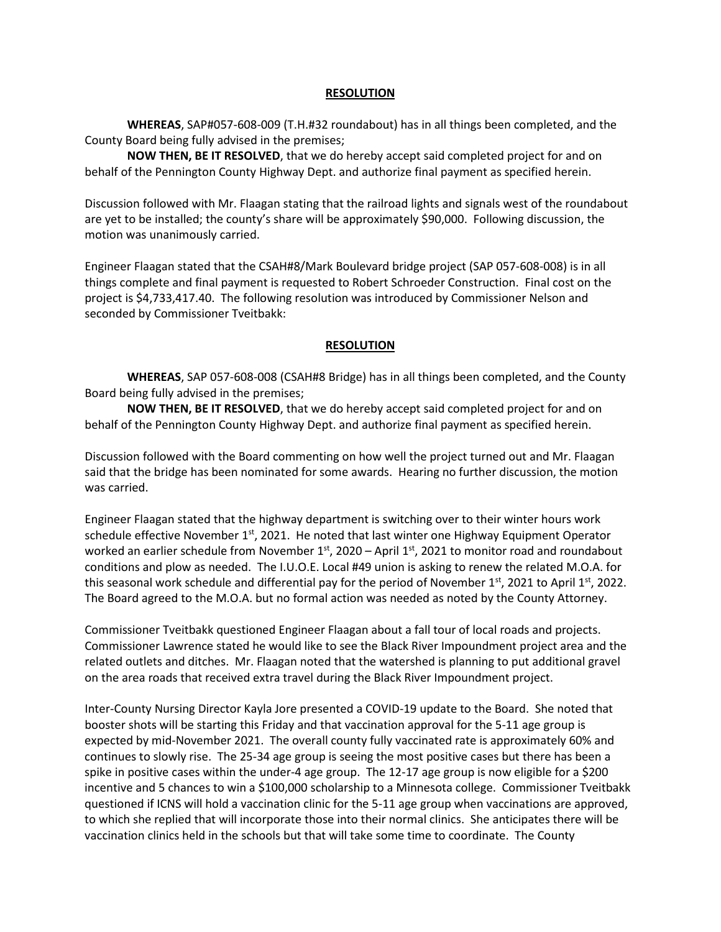#### **RESOLUTION**

**WHEREAS**, SAP#057-608-009 (T.H.#32 roundabout) has in all things been completed, and the County Board being fully advised in the premises;

**NOW THEN, BE IT RESOLVED**, that we do hereby accept said completed project for and on behalf of the Pennington County Highway Dept. and authorize final payment as specified herein.

Discussion followed with Mr. Flaagan stating that the railroad lights and signals west of the roundabout are yet to be installed; the county's share will be approximately \$90,000. Following discussion, the motion was unanimously carried.

Engineer Flaagan stated that the CSAH#8/Mark Boulevard bridge project (SAP 057-608-008) is in all things complete and final payment is requested to Robert Schroeder Construction. Final cost on the project is \$4,733,417.40. The following resolution was introduced by Commissioner Nelson and seconded by Commissioner Tveitbakk:

#### **RESOLUTION**

**WHEREAS**, SAP 057-608-008 (CSAH#8 Bridge) has in all things been completed, and the County Board being fully advised in the premises;

**NOW THEN, BE IT RESOLVED**, that we do hereby accept said completed project for and on behalf of the Pennington County Highway Dept. and authorize final payment as specified herein.

Discussion followed with the Board commenting on how well the project turned out and Mr. Flaagan said that the bridge has been nominated for some awards. Hearing no further discussion, the motion was carried.

Engineer Flaagan stated that the highway department is switching over to their winter hours work schedule effective November  $1<sup>st</sup>$ , 2021. He noted that last winter one Highway Equipment Operator worked an earlier schedule from November  $1<sup>st</sup>$ , 2020 – April  $1<sup>st</sup>$ , 2021 to monitor road and roundabout conditions and plow as needed. The I.U.O.E. Local #49 union is asking to renew the related M.O.A. for this seasonal work schedule and differential pay for the period of November  $1<sup>st</sup>$ , 2021 to April  $1<sup>st</sup>$ , 2022. The Board agreed to the M.O.A. but no formal action was needed as noted by the County Attorney.

Commissioner Tveitbakk questioned Engineer Flaagan about a fall tour of local roads and projects. Commissioner Lawrence stated he would like to see the Black River Impoundment project area and the related outlets and ditches. Mr. Flaagan noted that the watershed is planning to put additional gravel on the area roads that received extra travel during the Black River Impoundment project.

Inter-County Nursing Director Kayla Jore presented a COVID-19 update to the Board. She noted that booster shots will be starting this Friday and that vaccination approval for the 5-11 age group is expected by mid-November 2021. The overall county fully vaccinated rate is approximately 60% and continues to slowly rise. The 25-34 age group is seeing the most positive cases but there has been a spike in positive cases within the under-4 age group. The 12-17 age group is now eligible for a \$200 incentive and 5 chances to win a \$100,000 scholarship to a Minnesota college. Commissioner Tveitbakk questioned if ICNS will hold a vaccination clinic for the 5-11 age group when vaccinations are approved, to which she replied that will incorporate those into their normal clinics. She anticipates there will be vaccination clinics held in the schools but that will take some time to coordinate. The County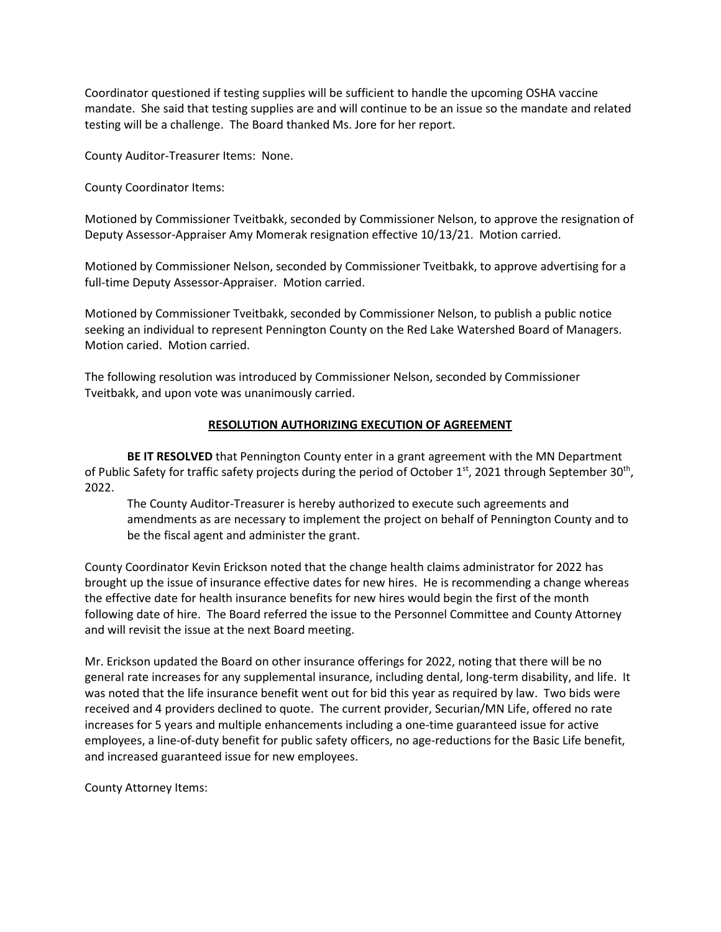Coordinator questioned if testing supplies will be sufficient to handle the upcoming OSHA vaccine mandate. She said that testing supplies are and will continue to be an issue so the mandate and related testing will be a challenge. The Board thanked Ms. Jore for her report.

County Auditor-Treasurer Items: None.

County Coordinator Items:

Motioned by Commissioner Tveitbakk, seconded by Commissioner Nelson, to approve the resignation of Deputy Assessor-Appraiser Amy Momerak resignation effective 10/13/21. Motion carried.

Motioned by Commissioner Nelson, seconded by Commissioner Tveitbakk, to approve advertising for a full-time Deputy Assessor-Appraiser. Motion carried.

Motioned by Commissioner Tveitbakk, seconded by Commissioner Nelson, to publish a public notice seeking an individual to represent Pennington County on the Red Lake Watershed Board of Managers. Motion caried. Motion carried.

The following resolution was introduced by Commissioner Nelson, seconded by Commissioner Tveitbakk, and upon vote was unanimously carried.

### **RESOLUTION AUTHORIZING EXECUTION OF AGREEMENT**

**BE IT RESOLVED** that Pennington County enter in a grant agreement with the MN Department of Public Safety for traffic safety projects during the period of October 1<sup>st</sup>, 2021 through September 30<sup>th</sup>, 2022.

The County Auditor-Treasurer is hereby authorized to execute such agreements and amendments as are necessary to implement the project on behalf of Pennington County and to be the fiscal agent and administer the grant.

County Coordinator Kevin Erickson noted that the change health claims administrator for 2022 has brought up the issue of insurance effective dates for new hires. He is recommending a change whereas the effective date for health insurance benefits for new hires would begin the first of the month following date of hire. The Board referred the issue to the Personnel Committee and County Attorney and will revisit the issue at the next Board meeting.

Mr. Erickson updated the Board on other insurance offerings for 2022, noting that there will be no general rate increases for any supplemental insurance, including dental, long-term disability, and life. It was noted that the life insurance benefit went out for bid this year as required by law. Two bids were received and 4 providers declined to quote. The current provider, Securian/MN Life, offered no rate increases for 5 years and multiple enhancements including a one-time guaranteed issue for active employees, a line-of-duty benefit for public safety officers, no age-reductions for the Basic Life benefit, and increased guaranteed issue for new employees.

County Attorney Items: